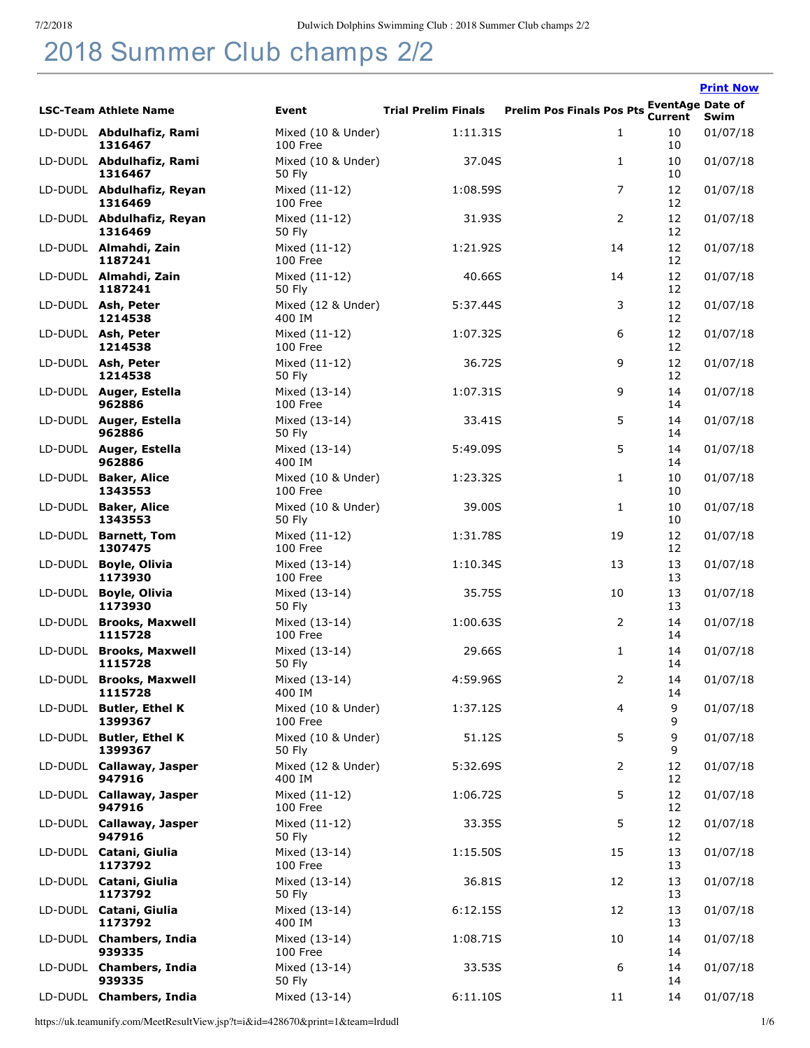## 2018 Summer Club champs 2/2

|                                      |                                |                            |                                           |          | <b>Print Now</b> |
|--------------------------------------|--------------------------------|----------------------------|-------------------------------------------|----------|------------------|
| <b>LSC-Team Athlete Name</b>         | Event                          | <b>Trial Prelim Finals</b> | Prelim Pos Finals Pos Pts Current Cate of |          |                  |
| LD-DUDL Abdulhafiz, Rami<br>1316467  | Mixed (10 & Under)<br>100 Free | 1:11.31S                   | $\mathbf{1}$                              | 10<br>10 | 01/07/18         |
| LD-DUDL Abdulhafiz, Rami<br>1316467  | Mixed (10 & Under)<br>50 Fly   | 37.04S                     | $\mathbf{1}$                              | 10<br>10 | 01/07/18         |
| LD-DUDL Abdulhafiz, Reyan<br>1316469 | Mixed (11-12)<br>100 Free      | 1:08.59S                   | 7                                         | 12<br>12 | 01/07/18         |
| LD-DUDL Abdulhafiz, Reyan<br>1316469 | Mixed (11-12)<br>50 Fly        | 31.93S                     | 2                                         | 12<br>12 | 01/07/18         |
| LD-DUDL Almahdi, Zain<br>1187241     | Mixed (11-12)<br>100 Free      | 1:21.92S                   | 14                                        | 12<br>12 | 01/07/18         |
| LD-DUDL Almahdi, Zain<br>1187241     | Mixed (11-12)<br>50 Fly        | 40.66S                     | 14                                        | 12<br>12 | 01/07/18         |
| LD-DUDL Ash, Peter<br>1214538        | Mixed (12 & Under)<br>400 IM   | 5:37.44S                   | 3                                         | 12<br>12 | 01/07/18         |
| LD-DUDL Ash, Peter<br>1214538        | Mixed (11-12)<br>100 Free      | 1:07.32S                   | 6                                         | 12<br>12 | 01/07/18         |
| LD-DUDL Ash, Peter<br>1214538        | Mixed (11-12)<br>50 Fly        | 36.72S                     | 9                                         | 12<br>12 | 01/07/18         |
| LD-DUDL Auger, Estella<br>962886     | Mixed (13-14)<br>100 Free      | 1:07.31S                   | 9                                         | 14<br>14 | 01/07/18         |
| LD-DUDL Auger, Estella<br>962886     | Mixed (13-14)<br>50 Fly        | 33.41S                     | 5                                         | 14<br>14 | 01/07/18         |
| LD-DUDL Auger, Estella<br>962886     | Mixed (13-14)<br>400 IM        | 5:49.09S                   | 5                                         | 14<br>14 | 01/07/18         |
| LD-DUDL Baker, Alice<br>1343553      | Mixed (10 & Under)<br>100 Free | 1:23.32S                   | $\mathbf{1}$                              | 10<br>10 | 01/07/18         |
| LD-DUDL Baker, Alice<br>1343553      | Mixed (10 & Under)<br>50 Fly   | 39.00S                     | 1                                         | 10<br>10 | 01/07/18         |
| LD-DUDL Barnett, Tom<br>1307475      | Mixed (11-12)<br>100 Free      | 1:31.78S                   | 19                                        | 12<br>12 | 01/07/18         |
| LD-DUDL Boyle, Olivia<br>1173930     | Mixed (13-14)<br>100 Free      | 1:10.34S                   | 13                                        | 13<br>13 | 01/07/18         |
| LD-DUDL Boyle, Olivia<br>1173930     | Mixed (13-14)<br>50 Fly        | 35.75S                     | 10                                        | 13<br>13 | 01/07/18         |
| LD-DUDL Brooks, Maxwell<br>1115728   | Mixed (13-14)<br>100 Free      | 1:00.63S                   | 2                                         | 14<br>14 | 01/07/18         |
| LD-DUDL Brooks, Maxwell<br>1115728   | Mixed (13-14)<br>50 Fly        | 29.66S                     | 1                                         | 14<br>14 | 01/07/18         |
| LD-DUDL Brooks, Maxwell<br>1115728   | Mixed (13-14)<br>400 IM        | 4:59.96S                   | 2                                         | 14<br>14 | 01/07/18         |
| LD-DUDL Butler, Ethel K<br>1399367   | Mixed (10 & Under)<br>100 Free | 1:37.12S                   | 4                                         | 9<br>9   | 01/07/18         |
| LD-DUDL Butler, Ethel K<br>1399367   | Mixed (10 & Under)<br>50 Fly   | 51.12S                     | 5                                         | 9<br>9   | 01/07/18         |
| LD-DUDL Callaway, Jasper<br>947916   | Mixed (12 & Under)<br>400 IM   | 5:32.69S                   | 2                                         | 12<br>12 | 01/07/18         |
| LD-DUDL Callaway, Jasper<br>947916   | Mixed (11-12)<br>100 Free      | 1:06.72S                   | 5                                         | 12<br>12 | 01/07/18         |
| LD-DUDL Callaway, Jasper<br>947916   | Mixed (11-12)<br>50 Fly        | 33.35S                     | 5                                         | 12<br>12 | 01/07/18         |
| LD-DUDL Catani, Giulia<br>1173792    | Mixed (13-14)<br>100 Free      | 1:15.50S                   | 15                                        | 13<br>13 | 01/07/18         |
| LD-DUDL Catani, Giulia<br>1173792    | Mixed (13-14)<br>50 Fly        | 36.81S                     | 12                                        | 13<br>13 | 01/07/18         |
| LD-DUDL Catani, Giulia<br>1173792    | Mixed (13-14)<br>400 IM        | 6:12.15S                   | 12                                        | 13<br>13 | 01/07/18         |
| LD-DUDL Chambers, India<br>939335    | Mixed (13-14)<br>100 Free      | 1:08.71S                   | 10                                        | 14<br>14 | 01/07/18         |
| LD-DUDL Chambers, India<br>939335    | Mixed (13-14)<br>50 Fly        | 33.53S                     | 6                                         | 14<br>14 | 01/07/18         |
| LD-DUDL Chambers, India              | Mixed (13-14)                  | 6:11.10S                   | 11                                        | 14       | 01/07/18         |

https://uk.teamunify.com/MeetResultView.jsp?t=i&id=428670&print=1&team=lrdudl 1/6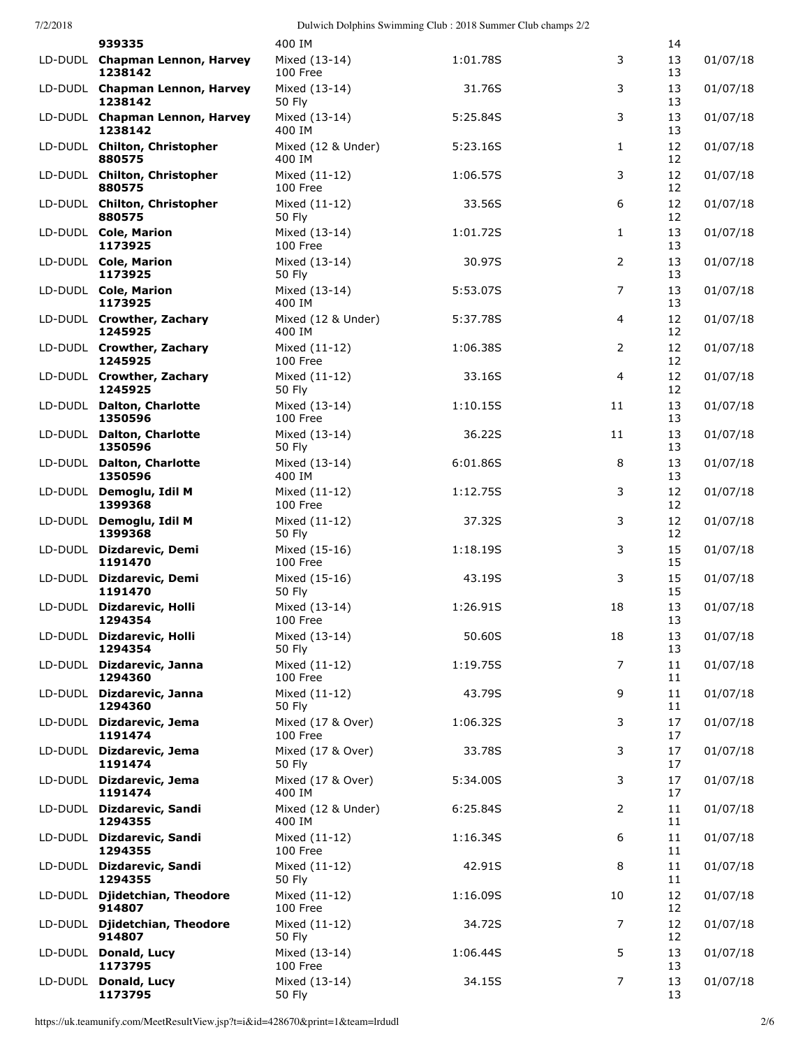| 7/2/2018 |  |
|----------|--|
|          |  |

|         | 939335                                    | 400 IM                        |          |                | 14       |          |
|---------|-------------------------------------------|-------------------------------|----------|----------------|----------|----------|
|         | LD-DUDL Chapman Lennon, Harvey<br>1238142 | Mixed (13-14)<br>100 Free     | 1:01.78S | 3              | 13<br>13 | 01/07/18 |
|         | LD-DUDL Chapman Lennon, Harvey<br>1238142 | Mixed (13-14)<br>50 Fly       | 31.76S   | 3              | 13<br>13 | 01/07/18 |
|         | LD-DUDL Chapman Lennon, Harvey<br>1238142 | Mixed (13-14)<br>400 IM       | 5:25.84S | 3              | 13<br>13 | 01/07/18 |
|         | LD-DUDL Chilton, Christopher<br>880575    | Mixed (12 & Under)<br>400 IM  | 5:23.16S | 1              | 12<br>12 | 01/07/18 |
|         | LD-DUDL Chilton, Christopher<br>880575    | Mixed (11-12)<br>100 Free     | 1:06.57S | 3              | 12<br>12 | 01/07/18 |
|         | LD-DUDL Chilton, Christopher<br>880575    | Mixed (11-12)<br>50 Fly       | 33.56S   | 6              | 12<br>12 | 01/07/18 |
|         | LD-DUDL Cole, Marion<br>1173925           | Mixed (13-14)<br>100 Free     | 1:01.72S | 1              | 13<br>13 | 01/07/18 |
|         | LD-DUDL Cole, Marion<br>1173925           | Mixed (13-14)<br>50 Fly       | 30.97S   | 2              | 13<br>13 | 01/07/18 |
|         | LD-DUDL Cole, Marion<br>1173925           | Mixed (13-14)<br>400 IM       | 5:53.07S | 7              | 13<br>13 | 01/07/18 |
|         | LD-DUDL Crowther, Zachary<br>1245925      | Mixed (12 & Under)<br>400 IM  | 5:37.78S | 4              | 12<br>12 | 01/07/18 |
|         | LD-DUDL Crowther, Zachary<br>1245925      | Mixed (11-12)<br>100 Free     | 1:06.38S | 2              | 12<br>12 | 01/07/18 |
|         | LD-DUDL Crowther, Zachary<br>1245925      | Mixed (11-12)<br>50 Fly       | 33.16S   | $\overline{4}$ | 12<br>12 | 01/07/18 |
|         | LD-DUDL Dalton, Charlotte<br>1350596      | Mixed (13-14)<br>100 Free     | 1:10.15S | 11             | 13<br>13 | 01/07/18 |
|         | LD-DUDL Dalton, Charlotte<br>1350596      | Mixed (13-14)<br>50 Fly       | 36.22S   | 11             | 13<br>13 | 01/07/18 |
| LD-DUDL | <b>Dalton, Charlotte</b><br>1350596       | Mixed (13-14)<br>400 IM       | 6:01.86S | 8              | 13<br>13 | 01/07/18 |
| LD-DUDL | Demoglu, Idil M<br>1399368                | Mixed (11-12)<br>100 Free     | 1:12.75S | 3              | 12<br>12 | 01/07/18 |
|         | LD-DUDL Demoglu, Idil M<br>1399368        | Mixed (11-12)<br>50 Fly       | 37.32S   | 3              | 12<br>12 | 01/07/18 |
|         | LD-DUDL Dizdarevic, Demi<br>1191470       | Mixed (15-16)<br>100 Free     | 1:18.19S | 3              | 15<br>15 | 01/07/18 |
|         | LD-DUDL Dizdarevic, Demi<br>1191470       | Mixed (15-16)<br>50 Fly       | 43.19S   | 3              | 15<br>15 | 01/07/18 |
| LD-DUDL | Dizdarevic, Holli<br>1294354              | Mixed (13-14)<br>100 Free     | 1:26.91S | 18             | 13<br>13 | 01/07/18 |
|         | LD-DUDL Dizdarevic, Holli<br>1294354      | Mixed (13-14)<br>50 Fly       | 50.60S   | 18             | 13<br>13 | 01/07/18 |
|         | LD-DUDL Dizdarevic, Janna<br>1294360      | Mixed (11-12)<br>100 Free     | 1:19.75S | $\overline{7}$ | 11<br>11 | 01/07/18 |
| LD-DUDL | Dizdarevic, Janna<br>1294360              | Mixed (11-12)<br>50 Fly       | 43.79S   | 9              | 11<br>11 | 01/07/18 |
| LD-DUDL | Dizdarevic, Jema<br>1191474               | Mixed (17 & Over)<br>100 Free | 1:06.32S | 3              | 17<br>17 | 01/07/18 |
|         | LD-DUDL Dizdarevic, Jema<br>1191474       | Mixed (17 & Over)<br>50 Fly   | 33.78S   | 3              | 17<br>17 | 01/07/18 |
|         | LD-DUDL Dizdarevic, Jema<br>1191474       | Mixed (17 & Over)<br>400 IM   | 5:34.00S | 3              | 17<br>17 | 01/07/18 |
| LD-DUDL | Dizdarevic, Sandi<br>1294355              | Mixed (12 & Under)<br>400 IM  | 6:25.84S | 2              | 11<br>11 | 01/07/18 |
| LD-DUDL | Dizdarevic, Sandi<br>1294355              | Mixed (11-12)<br>100 Free     | 1:16.34S | 6              | 11<br>11 | 01/07/18 |
| LD-DUDL | Dizdarevic, Sandi<br>1294355              | Mixed (11-12)<br>50 Fly       | 42.91S   | 8              | 11<br>11 | 01/07/18 |
|         | LD-DUDL Djidetchian, Theodore<br>914807   | Mixed (11-12)<br>100 Free     | 1:16.09S | 10             | 12<br>12 | 01/07/18 |
| LD-DUDL | Djidetchian, Theodore<br>914807           | Mixed (11-12)<br>50 Fly       | 34.72S   | $\overline{7}$ | 12<br>12 | 01/07/18 |
| LD-DUDL | Donald, Lucy<br>1173795                   | Mixed (13-14)<br>100 Free     | 1:06.44S | 5              | 13<br>13 | 01/07/18 |
|         | LD-DUDL Donald, Lucy<br>1173795           | Mixed (13-14)<br>50 Fly       | 34.15S   | 7              | 13<br>13 | 01/07/18 |

https://uk.teamunify.com/MeetResultView.jsp?t=i&id=428670&print=1&team=lrdudl 2/6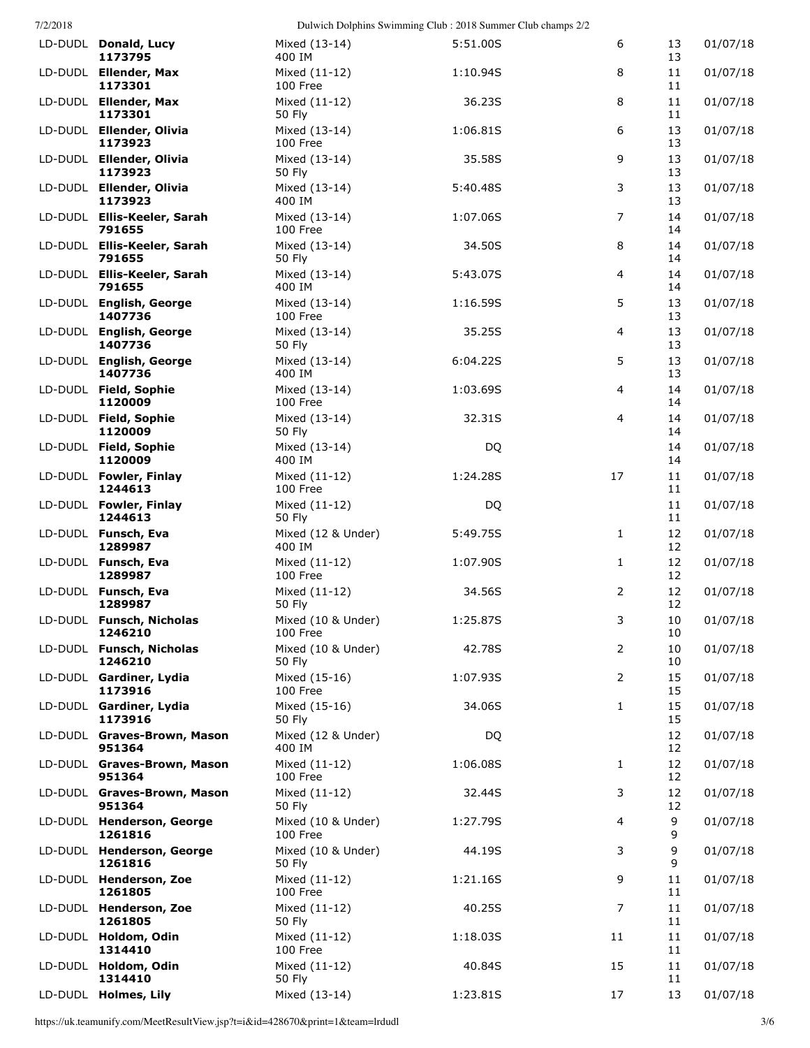| 77272018 |                                       |                                | Dulwich Dolphins Swimming Club : 2018 Summer Club champs 2/2 |                |                         |          |
|----------|---------------------------------------|--------------------------------|--------------------------------------------------------------|----------------|-------------------------|----------|
|          | LD-DUDL Donald, Lucy<br>1173795       | Mixed (13-14)<br>400 IM        | 5:51.00S                                                     | 6              | 13<br>13                | 01/07/18 |
|          | LD-DUDL Ellender, Max<br>1173301      | Mixed (11-12)<br>100 Free      | 1:10.94S                                                     | 8              | 11<br>11                | 01/07/18 |
|          | LD-DUDL Ellender, Max<br>1173301      | Mixed (11-12)<br>50 Fly        | 36.23S                                                       | 8              | 11<br>11                | 01/07/18 |
|          | LD-DUDL Ellender, Olivia<br>1173923   | Mixed (13-14)<br>100 Free      | 1:06.81S                                                     | 6              | 13<br>13                | 01/07/18 |
|          | LD-DUDL Ellender, Olivia<br>1173923   | Mixed (13-14)<br>50 Fly        | 35.58S                                                       | 9              | 13<br>13                | 01/07/18 |
|          | LD-DUDL Ellender, Olivia<br>1173923   | Mixed (13-14)<br>400 IM        | 5:40.48S                                                     | 3              | 13<br>13                | 01/07/18 |
|          | LD-DUDL Ellis-Keeler, Sarah<br>791655 | Mixed (13-14)<br>100 Free      | 1:07.06S                                                     | 7              | 14<br>14                | 01/07/18 |
|          | LD-DUDL Ellis-Keeler, Sarah<br>791655 | Mixed (13-14)<br>50 Fly        | 34.50S                                                       | 8              | 14<br>14                | 01/07/18 |
|          | LD-DUDL Ellis-Keeler, Sarah<br>791655 | Mixed (13-14)<br>400 IM        | 5:43.07S                                                     | 4              | 14<br>14                | 01/07/18 |
|          | LD-DUDL English, George<br>1407736    | Mixed (13-14)<br>100 Free      | 1:16.59S                                                     | 5              | 13<br>13                | 01/07/18 |
|          | LD-DUDL English, George<br>1407736    | Mixed (13-14)<br>50 Fly        | 35.25S                                                       | 4              | 13<br>13                | 01/07/18 |
|          | LD-DUDL English, George<br>1407736    | Mixed (13-14)<br>400 IM        | 6:04.22S                                                     | 5              | 13<br>13                | 01/07/18 |
|          | LD-DUDL Field, Sophie<br>1120009      | Mixed (13-14)<br>100 Free      | 1:03.69S                                                     | 4              | 14<br>14                | 01/07/18 |
|          | LD-DUDL Field, Sophie<br>1120009      | Mixed (13-14)<br>50 Fly        | 32.31S                                                       | 4              | 14<br>14                | 01/07/18 |
|          | LD-DUDL Field, Sophie<br>1120009      | Mixed (13-14)<br>400 IM        | DQ                                                           |                | 14<br>14                | 01/07/18 |
|          | LD-DUDL Fowler, Finlay<br>1244613     | Mixed (11-12)<br>100 Free      | 1:24.28S                                                     | 17             | 11<br>11                | 01/07/18 |
|          | LD-DUDL Fowler, Finlay<br>1244613     | Mixed (11-12)<br>50 Fly        | DQ                                                           |                | 11<br>11                | 01/07/18 |
|          | LD-DUDL Funsch, Eva<br>1289987        | Mixed (12 & Under)<br>400 IM   | 5:49.75S                                                     | 1              | 12<br>12                | 01/07/18 |
|          | LD-DUDL Funsch, Eva<br>1289987        | Mixed (11-12)<br>100 Free      | 1:07.90S                                                     | $\mathbf{1}$   | 12<br>12                | 01/07/18 |
|          | LD-DUDL Funsch, Eva<br>1289987        | Mixed (11-12)<br>50 Fly        | 34.56S                                                       | 2              | 12<br>$12 \overline{ }$ | 01/07/18 |
|          | LD-DUDL Funsch, Nicholas<br>1246210   | Mixed (10 & Under)<br>100 Free | 1:25.87S                                                     | $\mathbf{3}$   | 10<br>10                | 01/07/18 |
|          | LD-DUDL Funsch, Nicholas<br>1246210   | Mixed (10 & Under)<br>50 Fly   | 42.78S                                                       | $\overline{2}$ | 10<br>10                | 01/07/18 |
|          | LD-DUDL Gardiner, Lydia<br>1173916    | Mixed (15-16)<br>100 Free      | 1:07.93S                                                     | 2              | 15<br>15                | 01/07/18 |
|          | LD-DUDL Gardiner, Lydia<br>1173916    | Mixed (15-16)<br>50 Fly        | 34.06S                                                       | $\mathbf{1}$   | 15<br>15                | 01/07/18 |
|          | LD-DUDL Graves-Brown, Mason<br>951364 | Mixed (12 & Under)<br>400 IM   | DQ                                                           |                | 12<br>12                | 01/07/18 |
|          | LD-DUDL Graves-Brown, Mason<br>951364 | Mixed (11-12)<br>100 Free      | 1:06.08S                                                     | 1              | 12<br>12                | 01/07/18 |
|          | LD-DUDL Graves-Brown, Mason<br>951364 | Mixed (11-12)<br>50 Fly        | 32.44S                                                       | 3              | 12<br>12                | 01/07/18 |
|          | LD-DUDL Henderson, George<br>1261816  | Mixed (10 & Under)<br>100 Free | 1:27.79S                                                     | 4              | 9<br>9                  | 01/07/18 |
|          | LD-DUDL Henderson, George<br>1261816  | Mixed (10 & Under)<br>50 Fly   | 44.19S                                                       | 3              | 9<br>9                  | 01/07/18 |
|          | LD-DUDL Henderson, Zoe<br>1261805     | Mixed (11-12)<br>100 Free      | 1:21.16S                                                     | 9              | 11<br>11                | 01/07/18 |
|          | LD-DUDL Henderson, Zoe<br>1261805     | Mixed (11-12)<br>50 Fly        | 40.25S                                                       | 7              | 11<br>11                | 01/07/18 |
|          | LD-DUDL Holdom, Odin<br>1314410       | Mixed (11-12)<br>100 Free      | 1:18.03S                                                     | 11             | 11<br>11                | 01/07/18 |
|          | LD-DUDL Holdom, Odin<br>1314410       | Mixed (11-12)<br>50 Fly        | 40.84S                                                       | 15             | 11<br>11                | 01/07/18 |
|          | LD-DUDL Holmes, Lily                  | Mixed (13-14)                  | 1:23.81S                                                     | 17             | 13                      | 01/07/18 |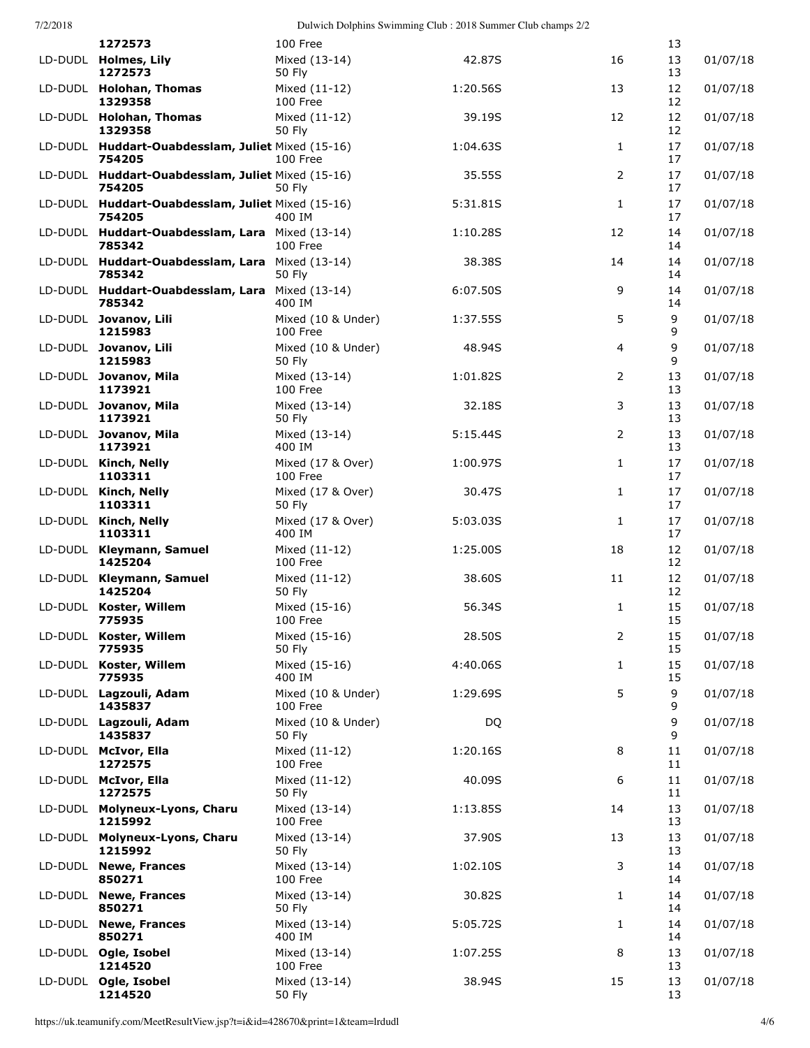|         | 1272573                                                     | 100 Free                       |          |                | 13       |          |
|---------|-------------------------------------------------------------|--------------------------------|----------|----------------|----------|----------|
|         | LD-DUDL Holmes, Lily<br>1272573                             | Mixed (13-14)<br>50 Fly        | 42.87S   | 16             | 13<br>13 | 01/07/18 |
|         | LD-DUDL Holohan, Thomas<br>1329358                          | Mixed (11-12)<br>100 Free      | 1:20.56S | 13             | 12<br>12 | 01/07/18 |
|         | LD-DUDL Holohan, Thomas<br>1329358                          | Mixed (11-12)<br>50 Fly        | 39.19S   | 12             | 12<br>12 | 01/07/18 |
|         | LD-DUDL Huddart-Ouabdesslam, Juliet Mixed (15-16)<br>754205 | 100 Free                       | 1:04.63S | $\mathbf{1}$   | 17<br>17 | 01/07/18 |
|         | LD-DUDL Huddart-Ouabdesslam, Juliet Mixed (15-16)<br>754205 | 50 Fly                         | 35.55S   | 2              | 17<br>17 | 01/07/18 |
|         | LD-DUDL Huddart-Ouabdesslam, Juliet Mixed (15-16)<br>754205 | 400 IM                         | 5:31.81S | $\mathbf{1}$   | 17<br>17 | 01/07/18 |
|         | LD-DUDL Huddart-Ouabdesslam, Lara Mixed (13-14)<br>785342   | 100 Free                       | 1:10.28S | 12             | 14<br>14 | 01/07/18 |
|         | LD-DUDL Huddart-Ouabdesslam, Lara Mixed (13-14)<br>785342   | 50 Fly                         | 38.38S   | 14             | 14<br>14 | 01/07/18 |
|         | LD-DUDL Huddart-Ouabdesslam, Lara<br>785342                 | Mixed (13-14)<br>400 IM        | 6:07.50S | 9              | 14<br>14 | 01/07/18 |
|         | LD-DUDL Jovanov, Lili<br>1215983                            | Mixed (10 & Under)<br>100 Free | 1:37.55S | 5              | 9<br>9   | 01/07/18 |
|         | LD-DUDL Jovanov, Lili<br>1215983                            | Mixed (10 & Under)<br>50 Fly   | 48.94S   | $\overline{4}$ | 9<br>9   | 01/07/18 |
|         | LD-DUDL Jovanov, Mila<br>1173921                            | Mixed (13-14)<br>100 Free      | 1:01.82S | 2              | 13<br>13 | 01/07/18 |
|         | LD-DUDL Jovanov, Mila<br>1173921                            | Mixed (13-14)<br>50 Fly        | 32.18S   | 3              | 13<br>13 | 01/07/18 |
|         | LD-DUDL Jovanov, Mila<br>1173921                            | Mixed (13-14)<br>400 IM        | 5:15.44S | 2              | 13<br>13 | 01/07/18 |
|         | LD-DUDL Kinch, Nelly<br>1103311                             | Mixed (17 & Over)<br>100 Free  | 1:00.97S | $\mathbf{1}$   | 17<br>17 | 01/07/18 |
|         | LD-DUDL Kinch, Nelly<br>1103311                             | Mixed (17 & Over)<br>50 Fly    | 30.47S   | $\mathbf{1}$   | 17<br>17 | 01/07/18 |
|         | LD-DUDL Kinch, Nelly<br>1103311                             | Mixed (17 & Over)<br>400 IM    | 5:03.03S | $\mathbf{1}$   | 17<br>17 | 01/07/18 |
|         | LD-DUDL Kleymann, Samuel<br>1425204                         | Mixed (11-12)<br>100 Free      | 1:25.00S | 18             | 12<br>12 | 01/07/18 |
|         | LD-DUDL Kleymann, Samuel<br>1425204                         | Mixed (11-12)<br>50 Fly        | 38.60S   | 11             | 12<br>12 | 01/07/18 |
| LD-DUDL | Koster, Willem<br>775935                                    | Mixed (15-16)<br>100 Free      | 56.34S   | 1              | 15<br>15 | 01/07/18 |
|         | LD-DUDL Koster, Willem<br>775935                            | Mixed (15-16)<br>50 Fly        | 28.50S   | 2              | 15<br>15 | 01/07/18 |
|         | LD-DUDL Koster, Willem<br>775935                            | Mixed (15-16)<br>400 IM        | 4:40.06S | $\mathbf{1}$   | 15<br>15 | 01/07/18 |
|         | LD-DUDL Lagzouli, Adam<br>1435837                           | Mixed (10 & Under)<br>100 Free | 1:29.69S | 5              | 9<br>9   | 01/07/18 |
|         | LD-DUDL Lagzouli, Adam<br>1435837                           | Mixed (10 & Under)<br>50 Fly   | DQ       |                | 9<br>9   | 01/07/18 |
|         | LD-DUDL McIvor, Ella<br>1272575                             | Mixed (11-12)<br>100 Free      | 1:20.16S | 8              | 11<br>11 | 01/07/18 |
|         | LD-DUDL McIvor, Ella<br>1272575                             | Mixed (11-12)<br>50 Fly        | 40.09S   | 6              | 11<br>11 | 01/07/18 |
|         | LD-DUDL Molyneux-Lyons, Charu<br>1215992                    | Mixed (13-14)<br>100 Free      | 1:13.85S | 14             | 13<br>13 | 01/07/18 |
|         | LD-DUDL Molyneux-Lyons, Charu<br>1215992                    | Mixed (13-14)<br>50 Fly        | 37.90S   | 13             | 13<br>13 | 01/07/18 |
|         | LD-DUDL Newe, Frances<br>850271                             | Mixed (13-14)<br>100 Free      | 1:02.10S | 3              | 14<br>14 | 01/07/18 |
|         | LD-DUDL Newe, Frances<br>850271                             | Mixed (13-14)<br>50 Fly        | 30.82S   | $\mathbf{1}$   | 14<br>14 | 01/07/18 |
|         | LD-DUDL Newe, Frances<br>850271                             | Mixed (13-14)<br>400 IM        | 5:05.72S | $\mathbf{1}$   | 14<br>14 | 01/07/18 |
|         | LD-DUDL Ogle, Isobel<br>1214520                             | Mixed (13-14)<br>100 Free      | 1:07.25S | 8              | 13<br>13 | 01/07/18 |
|         | LD-DUDL Ogle, Isobel<br>1214520                             | Mixed (13-14)<br>50 Fly        | 38.94S   | 15             | 13<br>13 | 01/07/18 |

https://uk.teamunify.com/MeetResultView.jsp?t=i&id=428670&print=1&team=lrdudl 4/6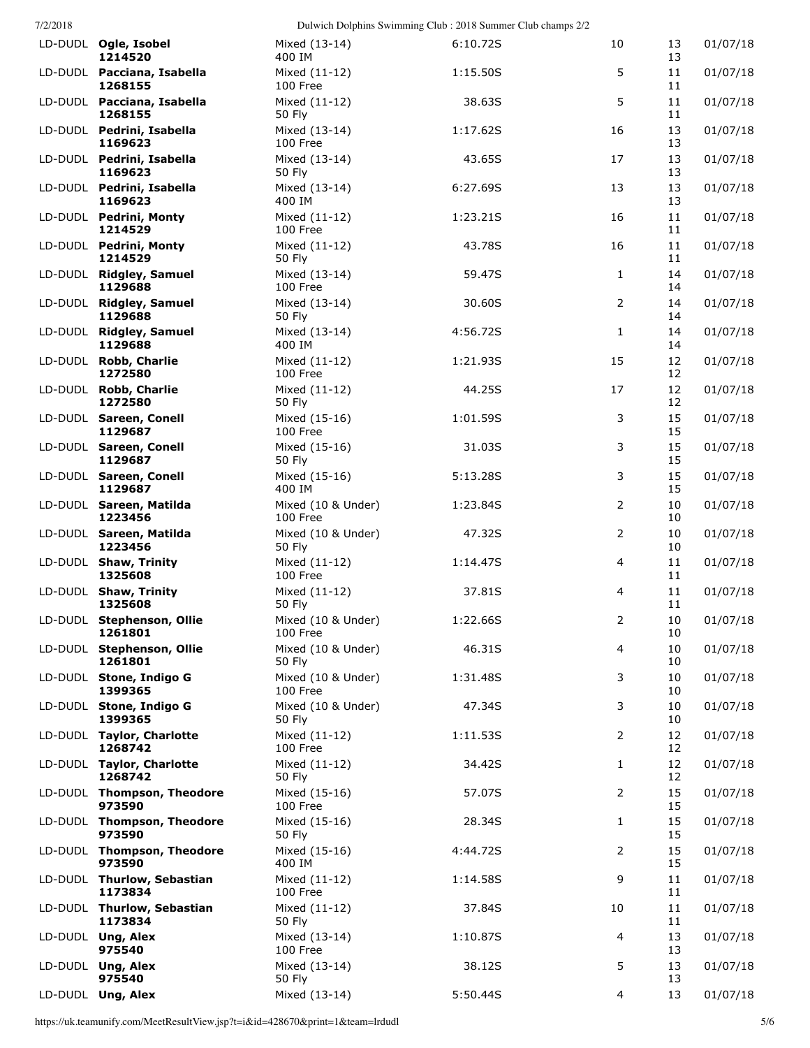| LD-DUDL Ogle, Isobel<br>1214520       | Mixed (13-14)<br>400 IM        | 6:10.72S | 10 | 13<br>13 | 01/07/18 |
|---------------------------------------|--------------------------------|----------|----|----------|----------|
| LD-DUDL Pacciana, Isabella<br>1268155 | Mixed (11-12)<br>100 Free      | 1:15.50S | 5  | 11<br>11 | 01/07/18 |
| LD-DUDL Pacciana, Isabella<br>1268155 | Mixed (11-12)<br>50 Fly        | 38.63S   | 5  | 11<br>11 | 01/07/18 |
| LD-DUDL Pedrini, Isabella<br>1169623  | Mixed (13-14)<br>100 Free      | 1:17.62S | 16 | 13<br>13 | 01/07/18 |
| LD-DUDL Pedrini, Isabella<br>1169623  | Mixed (13-14)<br>50 Fly        | 43.65S   | 17 | 13<br>13 | 01/07/18 |
| LD-DUDL Pedrini, Isabella<br>1169623  | Mixed (13-14)<br>400 IM        | 6:27.69S | 13 | 13<br>13 | 01/07/18 |
| LD-DUDL Pedrini, Monty<br>1214529     | Mixed (11-12)<br>100 Free      | 1:23.21S | 16 | 11<br>11 | 01/07/18 |
| LD-DUDL Pedrini, Monty<br>1214529     | Mixed (11-12)<br>50 Fly        | 43.78S   | 16 | 11<br>11 | 01/07/18 |
| LD-DUDL Ridgley, Samuel<br>1129688    | Mixed (13-14)<br>100 Free      | 59.47S   | 1  | 14<br>14 | 01/07/18 |
| LD-DUDL Ridgley, Samuel<br>1129688    | Mixed (13-14)<br>50 Fly        | 30.60S   | 2  | 14<br>14 | 01/07/18 |
| LD-DUDL Ridgley, Samuel<br>1129688    | Mixed (13-14)<br>400 IM        | 4:56.72S | 1  | 14<br>14 | 01/07/18 |
| LD-DUDL Robb, Charlie<br>1272580      | Mixed (11-12)<br>100 Free      | 1:21.93S | 15 | 12<br>12 | 01/07/18 |
| LD-DUDL Robb, Charlie<br>1272580      | Mixed (11-12)<br>50 Fly        | 44.25S   | 17 | 12<br>12 | 01/07/18 |
| LD-DUDL Sareen, Conell<br>1129687     | Mixed (15-16)<br>100 Free      | 1:01.59S | 3  | 15<br>15 | 01/07/18 |
| LD-DUDL Sareen, Conell<br>1129687     | Mixed (15-16)<br>50 Fly        | 31.03S   | 3  | 15<br>15 | 01/07/18 |
| LD-DUDL Sareen, Conell<br>1129687     | Mixed (15-16)<br>400 IM        | 5:13.28S | 3  | 15<br>15 | 01/07/18 |
| LD-DUDL Sareen, Matilda<br>1223456    | Mixed (10 & Under)<br>100 Free | 1:23.84S | 2  | 10<br>10 | 01/07/18 |
| LD-DUDL Sareen, Matilda<br>1223456    | Mixed (10 & Under)<br>50 Fly   | 47.32S   | 2  | 10<br>10 | 01/07/18 |
| LD-DUDL Shaw, Trinity<br>1325608      | Mixed (11-12)<br>100 Free      | 1:14.47S | 4  | 11<br>11 | 01/07/18 |
| LD-DUDL Shaw, Trinity<br>1325608      | Mixed (11-12)<br>50 Fly        | 37.81S   | 4  | 11<br>11 | 01/07/18 |
| LD-DUDL Stephenson, Ollie<br>1261801  | Mixed (10 & Under)<br>100 Free | 1:22.66S | 2  | 10<br>10 | 01/07/18 |
| LD-DUDL Stephenson, Ollie<br>1261801  | Mixed (10 & Under)<br>50 Fly   | 46.31S   | 4  | 10<br>10 | 01/07/18 |
| LD-DUDL Stone, Indigo G<br>1399365    | Mixed (10 & Under)<br>100 Free | 1:31.48S | 3  | 10<br>10 | 01/07/18 |
| LD-DUDL Stone, Indigo G<br>1399365    | Mixed (10 & Under)<br>50 Fly   | 47.34S   | 3  | 10<br>10 | 01/07/18 |
| LD-DUDL Taylor, Charlotte<br>1268742  | Mixed (11-12)<br>100 Free      | 1:11.53S | 2  | 12<br>12 | 01/07/18 |
| LD-DUDL Taylor, Charlotte<br>1268742  | Mixed (11-12)<br>50 Fly        | 34.42S   | 1  | 12<br>12 | 01/07/18 |
| LD-DUDL Thompson, Theodore<br>973590  | Mixed (15-16)<br>100 Free      | 57.07S   | 2  | 15<br>15 | 01/07/18 |
| LD-DUDL Thompson, Theodore<br>973590  | Mixed (15-16)<br>50 Fly        | 28.34S   | 1  | 15<br>15 | 01/07/18 |
| LD-DUDL Thompson, Theodore<br>973590  | Mixed (15-16)<br>400 IM        | 4:44.72S | 2  | 15<br>15 | 01/07/18 |
| LD-DUDL Thurlow, Sebastian<br>1173834 | Mixed (11-12)<br>100 Free      | 1:14.58S | 9  | 11<br>11 | 01/07/18 |
| LD-DUDL Thurlow, Sebastian<br>1173834 | Mixed (11-12)<br>50 Fly        | 37.84S   | 10 | 11<br>11 | 01/07/18 |
| LD-DUDL Ung, Alex<br>975540           | Mixed (13-14)<br>100 Free      | 1:10.87S | 4  | 13<br>13 | 01/07/18 |
| LD-DUDL Ung, Alex<br>975540           | Mixed (13-14)<br>50 Fly        | 38.12S   | 5  | 13<br>13 | 01/07/18 |
| LD-DUDL Ung, Alex                     | Mixed (13-14)                  | 5:50.44S | 4  | 13       | 01/07/18 |

https://uk.teamunify.com/MeetResultView.jsp?t=i&id=428670&print=1&team=lrdudl 5/6